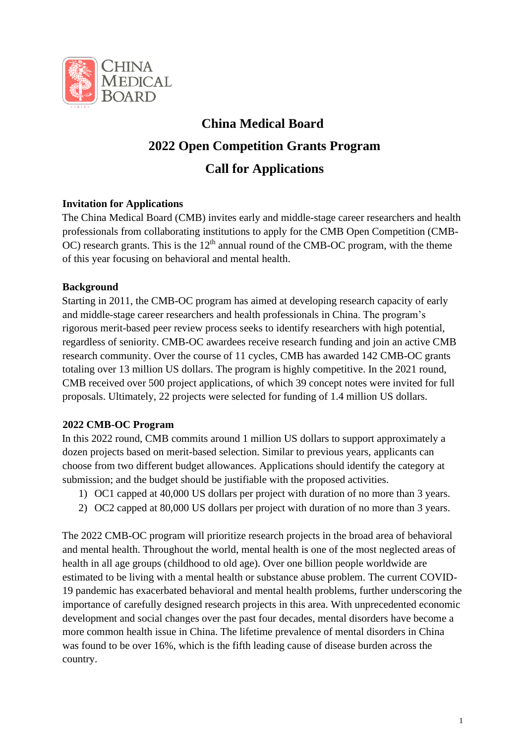

# **China Medical Board 2022 Open Competition Grants Program Call for Applications**

# **Invitation for Applications**

The China Medical Board (CMB) invites early and middle-stage career researchers and health professionals from collaborating institutions to apply for the CMB Open Competition (CMB-OC) research grants. This is the  $12<sup>th</sup>$  annual round of the CMB-OC program, with the theme of this year focusing on behavioral and mental health.

# **Background**

Starting in 2011, the CMB-OC program has aimed at developing research capacity of early and middle-stage career researchers and health professionals in China. The program's rigorous merit-based peer review process seeks to identify researchers with high potential, regardless of seniority. CMB-OC awardees receive research funding and join an active CMB research community. Over the course of 11 cycles, CMB has awarded 142 CMB-OC grants totaling over 13 million US dollars. The program is highly competitive. In the 2021 round, CMB received over 500 project applications, of which 39 concept notes were invited for full proposals. Ultimately, 22 projects were selected for funding of 1.4 million US dollars.

# **2022 CMB-OC Program**

In this 2022 round, CMB commits around 1 million US dollars to support approximately a dozen projects based on merit-based selection. Similar to previous years, applicants can choose from two different budget allowances. Applications should identify the category at submission; and the budget should be justifiable with the proposed activities.

- 1) OC1 capped at 40,000 US dollars per project with duration of no more than 3 years.
- 2) OC2 capped at 80,000 US dollars per project with duration of no more than 3 years.

The 2022 CMB-OC program will prioritize research projects in the broad area of behavioral and mental health. Throughout the world, mental health is one of the most neglected areas of health in all age groups (childhood to old age). Over one billion people worldwide are estimated to be living with a mental health or substance abuse problem. The current COVID-19 pandemic has exacerbated behavioral and mental health problems, further underscoring the importance of carefully designed research projects in this area. With unprecedented economic development and social changes over the past four decades, mental disorders have become a more common health issue in China. The lifetime prevalence of mental disorders in China was found to be over 16%, which is the fifth leading cause of disease burden across the country.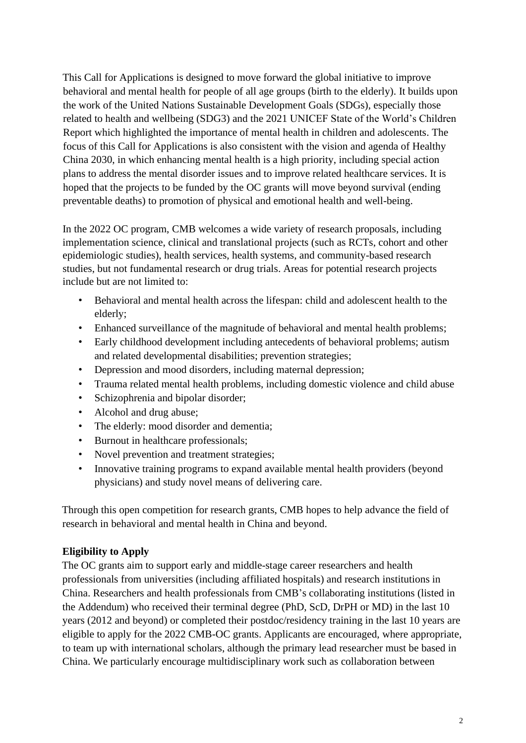This Call for Applications is designed to move forward the global initiative to improve behavioral and mental health for people of all age groups (birth to the elderly). It builds upon the work of the United Nations Sustainable Development Goals (SDGs), especially those related to health and wellbeing (SDG3) and the 2021 UNICEF State of the World's Children Report which highlighted the importance of mental health in children and adolescents. The focus of this Call for Applications is also consistent with the vision and agenda of Healthy China 2030, in which enhancing mental health is a high priority, including special action plans to address the mental disorder issues and to improve related healthcare services. It is hoped that the projects to be funded by the OC grants will move beyond survival (ending preventable deaths) to promotion of physical and emotional health and well-being.

In the 2022 OC program, CMB welcomes a wide variety of research proposals, including implementation science, clinical and translational projects (such as RCTs, cohort and other epidemiologic studies), health services, health systems, and community-based research studies, but not fundamental research or drug trials. Areas for potential research projects include but are not limited to:

- Behavioral and mental health across the lifespan: child and adolescent health to the elderly;
- Enhanced surveillance of the magnitude of behavioral and mental health problems;
- Early childhood development including antecedents of behavioral problems; autism and related developmental disabilities; prevention strategies;
- Depression and mood disorders, including maternal depression;
- Trauma related mental health problems, including domestic violence and child abuse
- Schizophrenia and bipolar disorder;
- Alcohol and drug abuse;
- The elderly: mood disorder and dementia;
- Burnout in healthcare professionals;
- Novel prevention and treatment strategies;
- Innovative training programs to expand available mental health providers (beyond physicians) and study novel means of delivering care.

Through this open competition for research grants, CMB hopes to help advance the field of research in behavioral and mental health in China and beyond.

# **Eligibility to Apply**

The OC grants aim to support early and middle-stage career researchers and health professionals from universities (including affiliated hospitals) and research institutions in China. Researchers and health professionals from CMB's collaborating institutions (listed in the Addendum) who received their terminal degree (PhD, ScD, DrPH or MD) in the last 10 years (2012 and beyond) or completed their postdoc/residency training in the last 10 years are eligible to apply for the 2022 CMB-OC grants. Applicants are encouraged, where appropriate, to team up with international scholars, although the primary lead researcher must be based in China. We particularly encourage multidisciplinary work such as collaboration between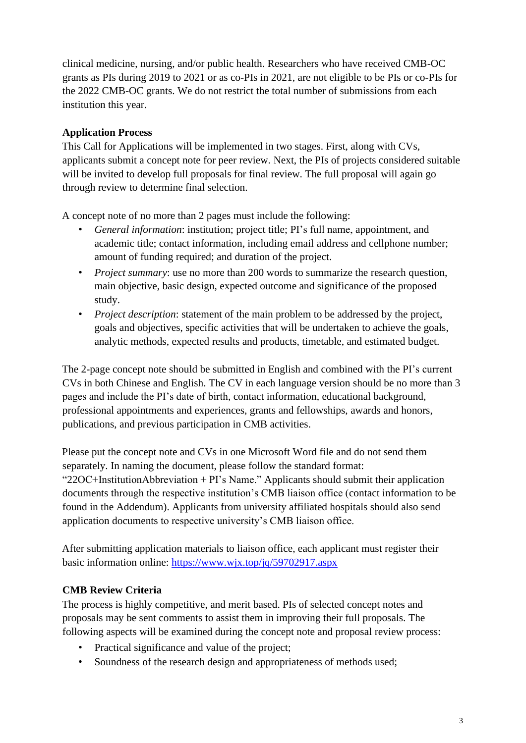clinical medicine, nursing, and/or public health. Researchers who have received CMB-OC grants as PIs during 2019 to 2021 or as co-PIs in 2021, are not eligible to be PIs or co-PIs for the 2022 CMB-OC grants. We do not restrict the total number of submissions from each institution this year.

#### **Application Process**

This Call for Applications will be implemented in two stages. First, along with CVs, applicants submit a concept note for peer review. Next, the PIs of projects considered suitable will be invited to develop full proposals for final review. The full proposal will again go through review to determine final selection.

A concept note of no more than 2 pages must include the following:

- *General information*: institution; project title; PI's full name, appointment, and academic title; contact information, including email address and cellphone number; amount of funding required; and duration of the project.
- *Project summary*: use no more than 200 words to summarize the research question, main objective, basic design, expected outcome and significance of the proposed study.
- *Project description*: statement of the main problem to be addressed by the project, goals and objectives, specific activities that will be undertaken to achieve the goals, analytic methods, expected results and products, timetable, and estimated budget.

The 2-page concept note should be submitted in English and combined with the PI's current CVs in both Chinese and English. The CV in each language version should be no more than 3 pages and include the PI's date of birth, contact information, educational background, professional appointments and experiences, grants and fellowships, awards and honors, publications, and previous participation in CMB activities.

Please put the concept note and CVs in one Microsoft Word file and do not send them separately. In naming the document, please follow the standard format: "22OC+InstitutionAbbreviation + PI's Name." Applicants should submit their application documents through the respective institution's CMB liaison office (contact information to be found in the Addendum). Applicants from university affiliated hospitals should also send application documents to respective university's CMB liaison office.

After submitting application materials to liaison office, each applicant must register their basic information online:<https://www.wjx.top/jq/59702917.aspx>

# **CMB Review Criteria**

The process is highly competitive, and merit based. PIs of selected concept notes and proposals may be sent comments to assist them in improving their full proposals. The following aspects will be examined during the concept note and proposal review process:

- Practical significance and value of the project;
- Soundness of the research design and appropriateness of methods used;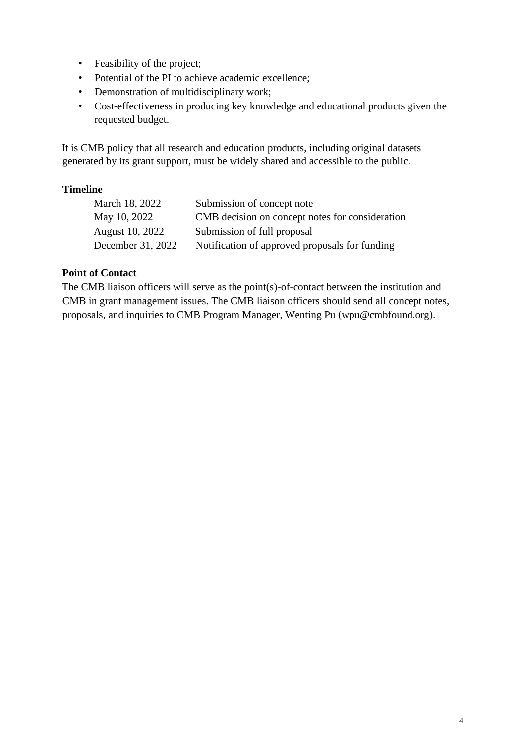- Feasibility of the project;
- Potential of the PI to achieve academic excellence;
- Demonstration of multidisciplinary work;
- Cost-effectiveness in producing key knowledge and educational products given the requested budget.

It is CMB policy that all research and education products, including original datasets generated by its grant support, must be widely shared and accessible to the public.

#### **Timeline**

| March 18, 2022    | Submission of concept note                      |
|-------------------|-------------------------------------------------|
| May 10, 2022      | CMB decision on concept notes for consideration |
| August 10, 2022   | Submission of full proposal                     |
| December 31, 2022 | Notification of approved proposals for funding  |

#### **Point of Contact**

The CMB liaison officers will serve as the point(s)-of-contact between the institution and CMB in grant management issues. The CMB liaison officers should send all concept notes, proposals, and inquiries to CMB Program Manager, Wenting Pu (wpu@cmbfound.org).